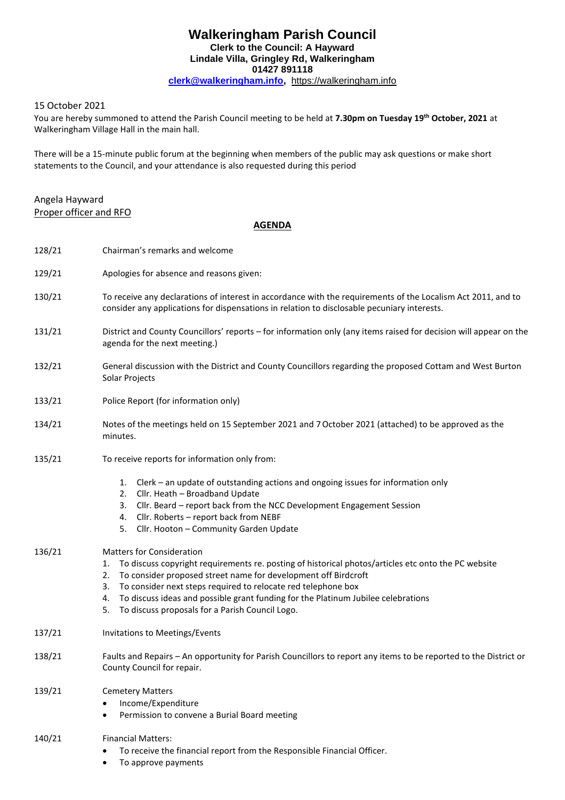# **Walkeringham Parish Council Clerk to the Council: A Hayward Lindale Villa, Gringley Rd, Walkeringham 01427 891118 [clerk@walkeringham.info,](mailto:clerk@walkeringham.info)** [https://walkeringham.info](https://walkeringham.info/)

## 15 October 2021

You are hereby summoned to attend the Parish Council meeting to be held at **7.30pm on Tuesday 19th October, 2021** at Walkeringham Village Hall in the main hall.

There will be a 15-minute public forum at the beginning when members of the public may ask questions or make short statements to the Council, and your attendance is also requested during this period

## Angela Hayward Proper officer and RFO

#### **AGENDA**

| 128/21 | Chairman's remarks and welcome                                                                                                                                                                                                                                                                                                                                                                                                                   |
|--------|--------------------------------------------------------------------------------------------------------------------------------------------------------------------------------------------------------------------------------------------------------------------------------------------------------------------------------------------------------------------------------------------------------------------------------------------------|
| 129/21 | Apologies for absence and reasons given:                                                                                                                                                                                                                                                                                                                                                                                                         |
| 130/21 | To receive any declarations of interest in accordance with the requirements of the Localism Act 2011, and to<br>consider any applications for dispensations in relation to disclosable pecuniary interests.                                                                                                                                                                                                                                      |
| 131/21 | District and County Councillors' reports - for information only (any items raised for decision will appear on the<br>agenda for the next meeting.)                                                                                                                                                                                                                                                                                               |
| 132/21 | General discussion with the District and County Councillors regarding the proposed Cottam and West Burton<br>Solar Projects                                                                                                                                                                                                                                                                                                                      |
| 133/21 | Police Report (for information only)                                                                                                                                                                                                                                                                                                                                                                                                             |
| 134/21 | Notes of the meetings held on 15 September 2021 and 7 October 2021 (attached) to be approved as the<br>minutes.                                                                                                                                                                                                                                                                                                                                  |
| 135/21 | To receive reports for information only from:                                                                                                                                                                                                                                                                                                                                                                                                    |
|        | 1. Clerk – an update of outstanding actions and ongoing issues for information only<br>Cllr. Heath - Broadband Update<br>2.<br>Cllr. Beard - report back from the NCC Development Engagement Session<br>3.<br>Cllr. Roberts - report back from NEBF<br>4.<br>Cllr. Hooton - Community Garden Update<br>5.                                                                                                                                        |
| 136/21 | <b>Matters for Consideration</b><br>To discuss copyright requirements re. posting of historical photos/articles etc onto the PC website<br>1.<br>To consider proposed street name for development off Birdcroft<br>2.<br>To consider next steps required to relocate red telephone box<br>3.<br>To discuss ideas and possible grant funding for the Platinum Jubilee celebrations<br>4.<br>To discuss proposals for a Parish Council Logo.<br>5. |
| 137/21 | Invitations to Meetings/Events                                                                                                                                                                                                                                                                                                                                                                                                                   |
| 138/21 | Faults and Repairs - An opportunity for Parish Councillors to report any items to be reported to the District or<br>County Council for repair.                                                                                                                                                                                                                                                                                                   |
| 139/21 | <b>Cemetery Matters</b><br>Income/Expenditure<br>Permission to convene a Burial Board meeting                                                                                                                                                                                                                                                                                                                                                    |
| 140/21 | <b>Financial Matters:</b><br>To receive the financial report from the Responsible Financial Officer.<br>To approve payments                                                                                                                                                                                                                                                                                                                      |